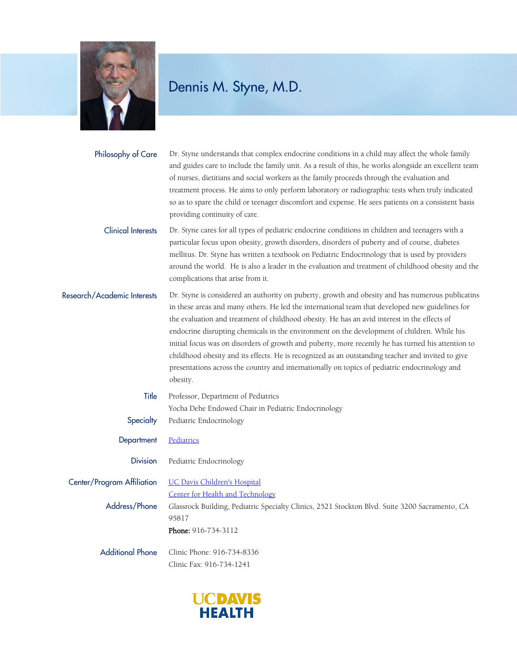

| Philosophy of Care          | Dr. Styne understands that complex endocrine conditions in a child may affect the whole family<br>and guides care to include the family unit. As a result of this, he works alongside an excellent team<br>of nurses, dietitians and social workers as the family proceeds through the evaluation and<br>treatment process. He aims to only perform laboratory or radiographic tests when truly indicated<br>so as to spare the child or teenager discomfort and expense. He sees patients on a consistent basis<br>providing continuity of care.                                                                                                                                                                          |
|-----------------------------|----------------------------------------------------------------------------------------------------------------------------------------------------------------------------------------------------------------------------------------------------------------------------------------------------------------------------------------------------------------------------------------------------------------------------------------------------------------------------------------------------------------------------------------------------------------------------------------------------------------------------------------------------------------------------------------------------------------------------|
| <b>Clinical Interests</b>   | Dr. Styne cares for all types of pediatric endocrine conditions in children and teenagers with a<br>particular focus upon obesity, growth disorders, disorders of puberty and of course, diabetes<br>mellitus. Dr. Styne has written a textbook on Pediatric Endocrinology that is used by providers<br>around the world. He is also a leader in the evaluation and treatment of childhood obesity and the<br>complications that arise from it.                                                                                                                                                                                                                                                                            |
| Research/Academic Interests | Dr. Styne is considered an authority on puberty, growth and obesity and has numerous publicatins<br>in these areas and many others. He led the international team that developed new guidelines for<br>the evaluation and treatment of childhood obesity. He has an avid interest in the effects of<br>endocrine disrupting chemicals in the environment on the development of children. While his<br>initial focus was on disorders of growth and puberty, more recently he has turned his attention to<br>childhood obesity and its effects. He is recognized as an outstanding teacher and invited to give<br>presentations across the country and internationally on topics of pediatric endocrinology and<br>obesity. |
| Title                       | Professor, Department of Pediatrics                                                                                                                                                                                                                                                                                                                                                                                                                                                                                                                                                                                                                                                                                        |
|                             | Yocha Dehe Endowed Chair in Pediatric Endocrinology                                                                                                                                                                                                                                                                                                                                                                                                                                                                                                                                                                                                                                                                        |
| Specialty                   | Pediatric Endocrinology                                                                                                                                                                                                                                                                                                                                                                                                                                                                                                                                                                                                                                                                                                    |
| Department                  | Pediatrics                                                                                                                                                                                                                                                                                                                                                                                                                                                                                                                                                                                                                                                                                                                 |
| <b>Division</b>             | Pediatric Endocrinology                                                                                                                                                                                                                                                                                                                                                                                                                                                                                                                                                                                                                                                                                                    |
| Center/Program Affiliation  | <b>UC Davis Children's Hospital</b>                                                                                                                                                                                                                                                                                                                                                                                                                                                                                                                                                                                                                                                                                        |
|                             | Center for Health and Technology                                                                                                                                                                                                                                                                                                                                                                                                                                                                                                                                                                                                                                                                                           |
| Address/Phone               | Glassrock Building, Pediatric Specialty Clinics, 2521 Stockton Blvd. Suite 3200 Sacramento, CA                                                                                                                                                                                                                                                                                                                                                                                                                                                                                                                                                                                                                             |
|                             | 95817                                                                                                                                                                                                                                                                                                                                                                                                                                                                                                                                                                                                                                                                                                                      |
|                             | Phone: 916-734-3112                                                                                                                                                                                                                                                                                                                                                                                                                                                                                                                                                                                                                                                                                                        |
| <b>Additional Phone</b>     | Clinic Phone: 916-734-8336                                                                                                                                                                                                                                                                                                                                                                                                                                                                                                                                                                                                                                                                                                 |
|                             | Clinic Fax: 916-734-1241                                                                                                                                                                                                                                                                                                                                                                                                                                                                                                                                                                                                                                                                                                   |

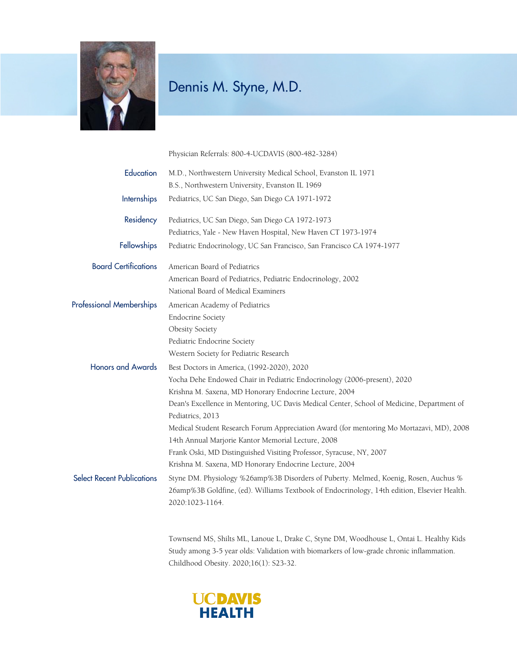

Physician Referrals: 800-4-UCDAVIS (800-482-3284)

| Education                         | M.D., Northwestern University Medical School, Evanston IL 1971                                                                                                                                         |
|-----------------------------------|--------------------------------------------------------------------------------------------------------------------------------------------------------------------------------------------------------|
|                                   | B.S., Northwestern University, Evanston IL 1969                                                                                                                                                        |
| <b>Internships</b>                | Pediatrics, UC San Diego, San Diego CA 1971-1972                                                                                                                                                       |
| Residency                         | Pediatrics, UC San Diego, San Diego CA 1972-1973                                                                                                                                                       |
|                                   | Pediatrics, Yale - New Haven Hospital, New Haven CT 1973-1974                                                                                                                                          |
| Fellowships                       | Pediatric Endocrinology, UC San Francisco, San Francisco CA 1974-1977                                                                                                                                  |
| <b>Board Certifications</b>       | American Board of Pediatrics                                                                                                                                                                           |
|                                   | American Board of Pediatrics, Pediatric Endocrinology, 2002                                                                                                                                            |
|                                   | National Board of Medical Examiners                                                                                                                                                                    |
| <b>Professional Memberships</b>   | American Academy of Pediatrics                                                                                                                                                                         |
|                                   | <b>Endocrine Society</b>                                                                                                                                                                               |
|                                   | Obesity Society                                                                                                                                                                                        |
|                                   | Pediatric Endocrine Society                                                                                                                                                                            |
|                                   | Western Society for Pediatric Research                                                                                                                                                                 |
| <b>Honors and Awards</b>          | Best Doctors in America, (1992-2020), 2020                                                                                                                                                             |
|                                   | Yocha Dehe Endowed Chair in Pediatric Endocrinology (2006-present), 2020                                                                                                                               |
|                                   | Krishna M. Saxena, MD Honorary Endocrine Lecture, 2004                                                                                                                                                 |
|                                   | Dean's Excellence in Mentoring, UC Davis Medical Center, School of Medicine, Department of                                                                                                             |
|                                   | Pediatrics, 2013                                                                                                                                                                                       |
|                                   | Medical Student Research Forum Appreciation Award (for mentoring Mo Mortazavi, MD), 2008                                                                                                               |
|                                   | 14th Annual Marjorie Kantor Memorial Lecture, 2008                                                                                                                                                     |
|                                   | Frank Oski, MD Distinguished Visiting Professor, Syracuse, NY, 2007                                                                                                                                    |
|                                   | Krishna M. Saxena, MD Honorary Endocrine Lecture, 2004                                                                                                                                                 |
| <b>Select Recent Publications</b> | Styne DM. Physiology %26amp%3B Disorders of Puberty. Melmed, Koenig, Rosen, Auchus %<br>26amp%3B Goldfine, (ed). Williams Textbook of Endocrinology, 14th edition, Elsevier Health.<br>2020:1023-1164. |
|                                   |                                                                                                                                                                                                        |

Townsend MS, Shilts ML, Lanoue L, Drake C, Styne DM, Woodhouse L, Ontai L. Healthy Kids Study among 3-5 year olds: Validation with biomarkers of low-grade chronic inflammation. Childhood Obesity. 2020;16(1): S23-32.

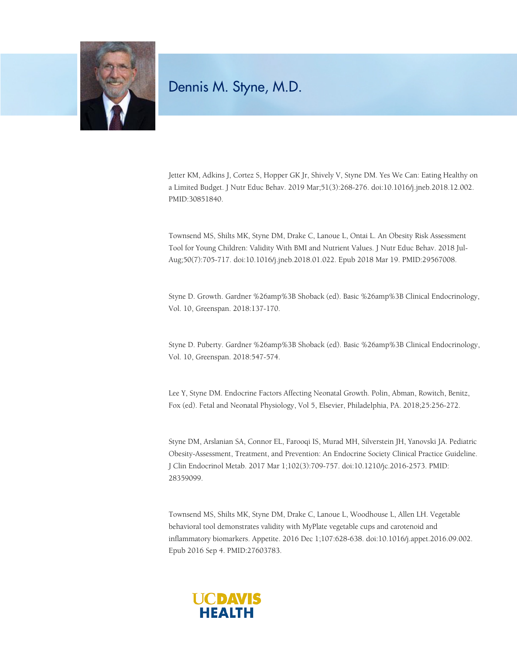

Jetter KM, Adkins J, Cortez S, Hopper GK Jr, Shively V, Styne DM. Yes We Can: Eating Healthy on a Limited Budget. J Nutr Educ Behav. 2019 Mar;51(3):268-276. doi:10.1016/j.jneb.2018.12.002. PMID:30851840.

Townsend MS, Shilts MK, Styne DM, Drake C, Lanoue L, Ontai L. An Obesity Risk Assessment Tool for Young Children: Validity With BMI and Nutrient Values. J Nutr Educ Behav. 2018 Jul-Aug;50(7):705-717. doi:10.1016/j.jneb.2018.01.022. Epub 2018 Mar 19. PMID:29567008.

Styne D. Growth. Gardner %26amp%3B Shoback (ed). Basic %26amp%3B Clinical Endocrinology, Vol. 10, Greenspan. 2018:137-170.

Styne D. Puberty. Gardner %26amp%3B Shoback (ed). Basic %26amp%3B Clinical Endocrinology, Vol. 10, Greenspan. 2018:547-574.

Lee Y, Styne DM. Endocrine Factors Affecting Neonatal Growth. Polin, Abman, Rowitch, Benitz, Fox (ed). Fetal and Neonatal Physiology, Vol 5, Elsevier, Philadelphia, PA. 2018;25:256-272.

Styne DM, Arslanian SA, Connor EL, Farooqi IS, Murad MH, Silverstein JH, Yanovski JA. Pediatric Obesity-Assessment, Treatment, and Prevention: An Endocrine Society Clinical Practice Guideline. J Clin Endocrinol Metab. 2017 Mar 1;102(3):709-757. doi:10.1210/jc.2016-2573. PMID: 28359099.

Townsend MS, Shilts MK, Styne DM, Drake C, Lanoue L, Woodhouse L, Allen LH. Vegetable behavioral tool demonstrates validity with MyPlate vegetable cups and carotenoid and inflammatory biomarkers. Appetite. 2016 Dec 1;107:628-638. doi:10.1016/j.appet.2016.09.002. Epub 2016 Sep 4. PMID:27603783.